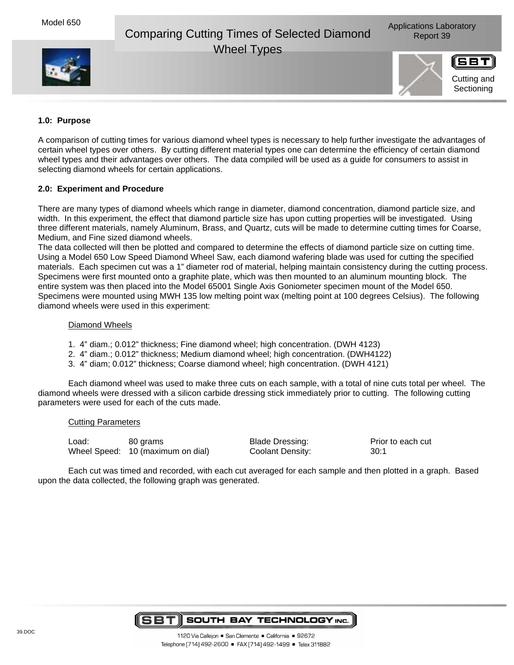# Comparing Cutting Times of Selected Diamond Report 39 Wheel Types





## **1.0: Purpose**

A comparison of cutting times for various diamond wheel types is necessary to help further investigate the advantages of certain wheel types over others. By cutting different material types one can determine the efficiency of certain diamond wheel types and their advantages over others. The data compiled will be used as a guide for consumers to assist in selecting diamond wheels for certain applications.

### **2.0: Experiment and Procedure**

There are many types of diamond wheels which range in diameter, diamond concentration, diamond particle size, and width. In this experiment, the effect that diamond particle size has upon cutting properties will be investigated. Using three different materials, namely Aluminum, Brass, and Quartz, cuts will be made to determine cutting times for Coarse, Medium, and Fine sized diamond wheels.

The data collected will then be plotted and compared to determine the effects of diamond particle size on cutting time. Using a Model 650 Low Speed Diamond Wheel Saw, each diamond wafering blade was used for cutting the specified materials. Each specimen cut was a 1" diameter rod of material, helping maintain consistency during the cutting process. Specimens were first mounted onto a graphite plate, which was then mounted to an aluminum mounting block. The entire system was then placed into the Model 65001 Single Axis Goniometer specimen mount of the Model 650. Specimens were mounted using MWH 135 low melting point wax (melting point at 100 degrees Celsius). The following diamond wheels were used in this experiment:

### Diamond Wheels

- 1. 4" diam.; 0.012" thickness; Fine diamond wheel; high concentration. (DWH 4123)
- 2. 4" diam.; 0.012" thickness; Medium diamond wheel; high concentration. (DWH4122)
- 3. 4" diam; 0.012" thickness; Coarse diamond wheel; high concentration. (DWH 4121)

Each diamond wheel was used to make three cuts on each sample, with a total of nine cuts total per wheel. The diamond wheels were dressed with a silicon carbide dressing stick immediately prior to cutting. The following cutting parameters were used for each of the cuts made.

### Cutting Parameters

Load: 80 grams Blade Dressing: Prior to each cut Wheel Speed: 10 (maximum on dial) Coolant Density: 30:1

Each cut was timed and recorded, with each cut averaged for each sample and then plotted in a graph. Based upon the data collected, the following graph was generated.